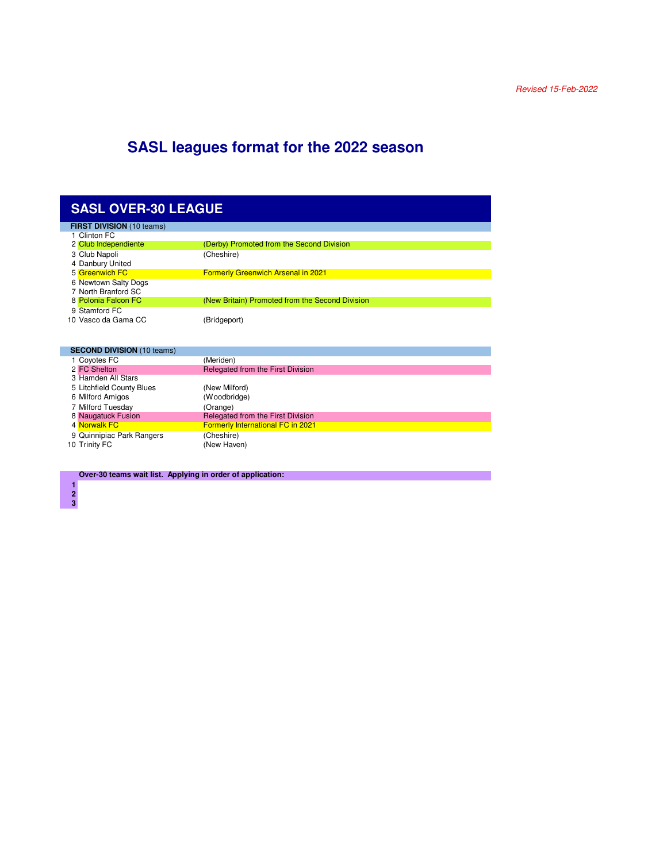## **SASL leagues format for the 2022 season**

## **SASL OVER-30 LEAGUE**

| <b>FIRST DIVISION</b> (10 teams) |                                                 |
|----------------------------------|-------------------------------------------------|
| 1 Clinton FC                     |                                                 |
| 2 Club Independiente             | (Derby) Promoted from the Second Division       |
| 3 Club Napoli                    | (Cheshire)                                      |
| 4 Danbury United                 |                                                 |
| 5 Greenwich FC                   | <b>Formerly Greenwich Arsenal in 2021</b>       |
| 6 Newtown Salty Dogs             |                                                 |
| 7 North Branford SC              |                                                 |
| 8 Polonia Falcon FC              | (New Britain) Promoted from the Second Division |
| 9 Stamford FC                    |                                                 |
| 10 Vasco da Gama CC              | (Bridgeport)                                    |
|                                  |                                                 |

|  | <b>SECOND DIVISION (10 teams)</b> |                                          |
|--|-----------------------------------|------------------------------------------|
|  | 1 Coyotes FC                      | (Meriden)                                |
|  | 2 FC Shelton                      | Relegated from the First Division        |
|  | 3 Hamden All Stars                |                                          |
|  | 5 Litchfield County Blues         | (New Milford)                            |
|  | 6 Milford Amigos                  | (Woodbridge)                             |
|  | 7 Milford Tuesday                 | (Orange)                                 |
|  | 8 Naugatuck Fusion                | Relegated from the First Division        |
|  | 4 Norwalk FC                      | <b>Formerly International FC in 2021</b> |
|  | 9 Quinnipiac Park Rangers         | (Cheshire)                               |
|  | 10 Trinity FC                     | (New Haven)                              |
|  |                                   |                                          |

**Over-30 teams wait list. Applying in order of application:**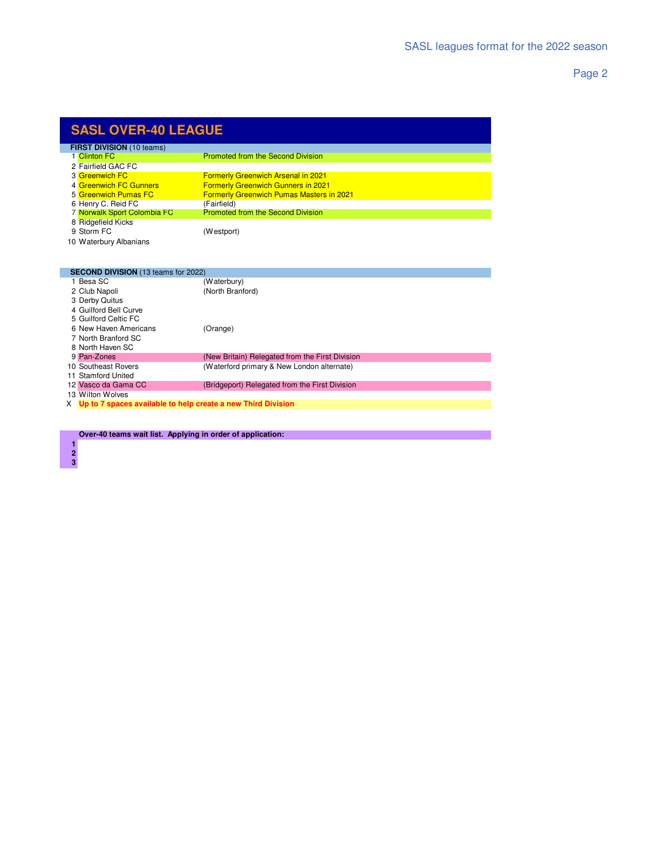Page 2

| <b>SASL OVER-40 LEAGUE</b>       |                                                 |  |
|----------------------------------|-------------------------------------------------|--|
| <b>FIRST DIVISION</b> (10 teams) |                                                 |  |
| 1 Clinton FC                     | <b>Promoted from the Second Division</b>        |  |
| 2 Fairfield GAC FC               |                                                 |  |
| 3 Greenwich FC                   | <b>Formerly Greenwich Arsenal in 2021</b>       |  |
| 4 Greenwich FC Gunners           | <b>Formerly Greenwich Gunners in 2021</b>       |  |
| 5 Greenwich Pumas FC             | <b>Formerly Greenwich Pumas Masters in 2021</b> |  |
| 6 Henry C. Reid FC               | (Fairfield)                                     |  |
| 7 Norwalk Sport Colombia FC      | <b>Promoted from the Second Division</b>        |  |
| 8 Ridgefield Kicks               |                                                 |  |
| 9 Storm FC                       | (Westport)                                      |  |

| 10 Waterbury Albanians |  |
|------------------------|--|
|                        |  |

 

|                                                                  | <b>SECOND DIVISION</b> (13 teams for 2022) |                                                 |
|------------------------------------------------------------------|--------------------------------------------|-------------------------------------------------|
|                                                                  | 1 Besa SC                                  | (Waterbury)                                     |
|                                                                  | 2 Club Napoli                              | (North Branford)                                |
|                                                                  | 3 Derby Quitus                             |                                                 |
|                                                                  | 4 Guilford Bell Curve                      |                                                 |
|                                                                  | 5 Guilford Celtic FC                       |                                                 |
|                                                                  | 6 New Haven Americans                      | (Orange)                                        |
|                                                                  | 7 North Branford SC                        |                                                 |
|                                                                  | 8 North Haven SC                           |                                                 |
|                                                                  | 9 Pan-Zones                                | (New Britain) Relegated from the First Division |
|                                                                  | 10 Southeast Rovers                        | (Waterford primary & New London alternate)      |
|                                                                  | 11 Stamford United                         |                                                 |
|                                                                  | 12 Vasco da Gama CC                        | (Bridgeport) Relegated from the First Division  |
|                                                                  | 13 Wilton Wolves                           |                                                 |
| $X$ Up to 7 spaces available to help create a new Third Division |                                            |                                                 |

**Over-40 teams wait list. Applying in order of application:**